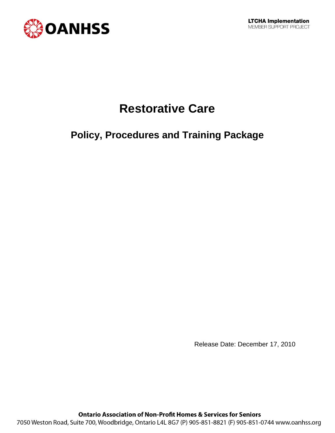

# **Restorative Care**

## **Policy, Procedures and Training Package**

Release Date: December 17, 2010

**Ontario Association of Non-Profit Homes & Services for Seniors** 7050 Weston Road, Suite 700, Woodbridge, Ontario L4L 8G7 (P) 905-851-8821 (F) 905-851-0744 www.oanhss.org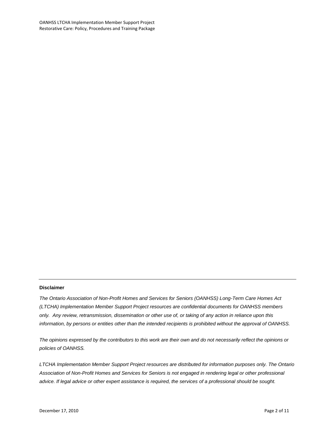#### **Disclaimer**

*The Ontario Association of Non-Profit Homes and Services for Seniors (OANHSS) Long-Term Care Homes Act (LTCHA) Implementation Member Support Project resources are confidential documents for OANHSS members only. Any review, retransmission, dissemination or other use of, or taking of any action in reliance upon this information, by persons or entities other than the intended recipients is prohibited without the approval of OANHSS.*

*The opinions expressed by the contributors to this work are their own and do not necessarily reflect the opinions or policies of OANHSS.*

*LTCHA Implementation Member Support Project resources are distributed for information purposes only. The Ontario Association of Non-Profit Homes and Services for Seniors is not engaged in rendering legal or other professional advice. If legal advice or other expert assistance is required, the services of a professional should be sought.*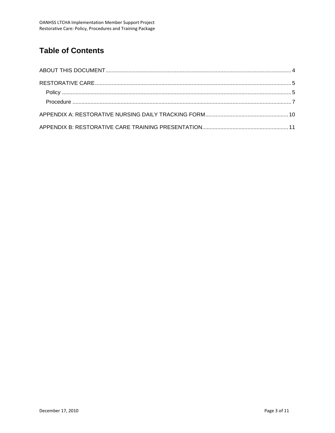## **Table of Contents**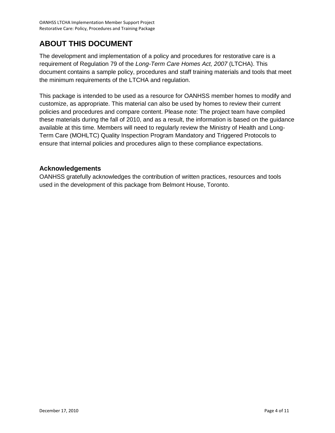### <span id="page-3-0"></span>**ABOUT THIS DOCUMENT**

The development and implementation of a policy and procedures for restorative care is a requirement of Regulation 79 of the *Long-Term Care Homes Act, 2007* (LTCHA). This document contains a sample policy, procedures and staff training materials and tools that meet the minimum requirements of the LTCHA and regulation.

This package is intended to be used as a resource for OANHSS member homes to modify and customize, as appropriate. This material can also be used by homes to review their current policies and procedures and compare content. Please note: The project team have compiled these materials during the fall of 2010, and as a result, the information is based on the guidance available at this time. Members will need to regularly review the Ministry of Health and Long-Term Care (MOHLTC) Quality Inspection Program Mandatory and Triggered Protocols to ensure that internal policies and procedures align to these compliance expectations.

#### **Acknowledgements**

OANHSS gratefully acknowledges the contribution of written practices, resources and tools used in the development of this package from Belmont House, Toronto.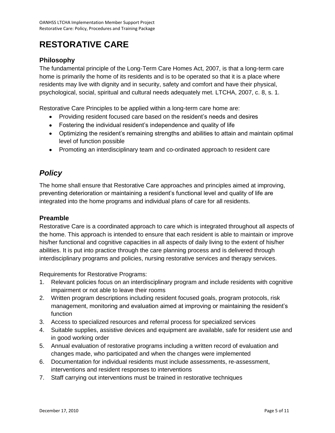## <span id="page-4-0"></span>**RESTORATIVE CARE**

### **Philosophy**

The fundamental principle of the Long-Term Care Homes Act, 2007, is that a long-term care home is primarily the home of its residents and is to be operated so that it is a place where residents may live with dignity and in security, safety and comfort and have their physical, psychological, social, spiritual and cultural needs adequately met. LTCHA, 2007, c. 8, s. 1.

Restorative Care Principles to be applied within a long-term care home are:

- Providing resident focused care based on the resident's needs and desires
- Fostering the individual resident's independence and quality of life
- Optimizing the resident's remaining strengths and abilities to attain and maintain optimal level of function possible
- Promoting an interdisciplinary team and co-ordinated approach to resident care

### <span id="page-4-1"></span>*Policy*

The home shall ensure that Restorative Care approaches and principles aimed at improving, preventing deterioration or maintaining a resident's functional level and quality of life are integrated into the home programs and individual plans of care for all residents.

#### **Preamble**

Restorative Care is a coordinated approach to care which is integrated throughout all aspects of the home. This approach is intended to ensure that each resident is able to maintain or improve his/her functional and cognitive capacities in all aspects of daily living to the extent of his/her abilities. It is put into practice through the care planning process and is delivered through interdisciplinary programs and policies, nursing restorative services and therapy services.

Requirements for Restorative Programs:

- 1. Relevant policies focus on an interdisciplinary program and include residents with cognitive impairment or not able to leave their rooms
- 2. Written program descriptions including resident focused goals, program protocols, risk management, monitoring and evaluation aimed at improving or maintaining the resident's function
- 3. Access to specialized resources and referral process for specialized services
- 4. Suitable supplies, assistive devices and equipment are available, safe for resident use and in good working order
- 5. Annual evaluation of restorative programs including a written record of evaluation and changes made, who participated and when the changes were implemented
- 6. Documentation for individual residents must include assessments, re-assessment, interventions and resident responses to interventions
- 7. Staff carrying out interventions must be trained in restorative techniques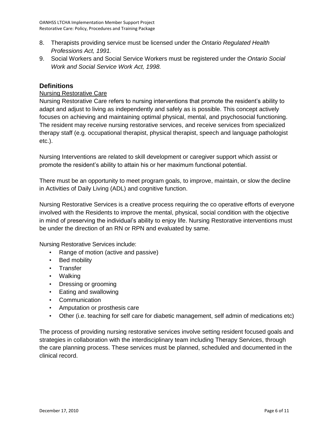- 8. Therapists providing service must be licensed under the *Ontario Regulated Health Professions Act, 1991.*
- 9. Social Workers and Social Service Workers must be registered under the *Ontario Social Work and Social Service Work Act, 1998.*

#### **Definitions**

#### Nursing Restorative Care

Nursing Restorative Care refers to nursing interventions that promote the resident's ability to adapt and adjust to living as independently and safely as is possible. This concept actively focuses on achieving and maintaining optimal physical, mental, and psychosocial functioning. The resident may receive nursing restorative services, and receive services from specialized therapy staff (e.g. occupational therapist, physical therapist, speech and language pathologist etc.).

Nursing Interventions are related to skill development or caregiver support which assist or promote the resident's ability to attain his or her maximum functional potential.

There must be an opportunity to meet program goals, to improve, maintain, or slow the decline in Activities of Daily Living (ADL) and cognitive function.

Nursing Restorative Services is a creative process requiring the co operative efforts of everyone involved with the Residents to improve the mental, physical, social condition with the objective in mind of preserving the individual's ability to enjoy life. Nursing Restorative interventions must be under the direction of an RN or RPN and evaluated by same.

Nursing Restorative Services include:

- Range of motion (active and passive)
- Bed mobility
- Transfer
- Walking
- Dressing or grooming
- Eating and swallowing
- Communication
- Amputation or prosthesis care
- Other (i.e. teaching for self care for diabetic management, self admin of medications etc)

The process of providing nursing restorative services involve setting resident focused goals and strategies in collaboration with the interdisciplinary team including Therapy Services, through the care planning process. These services must be planned, scheduled and documented in the clinical record.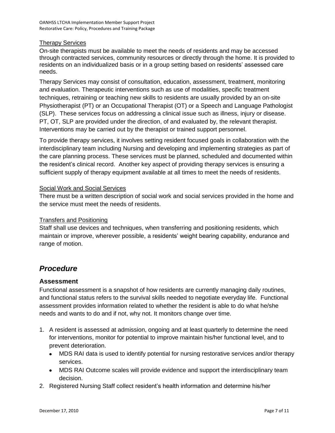#### Therapy Services

On-site therapists must be available to meet the needs of residents and may be accessed through contracted services, community resources or directly through the home. It is provided to residents on an individualized basis or in a group setting based on residents' assessed care needs.

Therapy Services may consist of consultation, education, assessment, treatment, monitoring and evaluation. Therapeutic interventions such as use of modalities, specific treatment techniques, retraining or teaching new skills to residents are usually provided by an on-site Physiotherapist (PT) or an Occupational Therapist (OT) or a Speech and Language Pathologist (SLP). These services focus on addressing a clinical issue such as illness, injury or disease. PT, OT, SLP are provided under the direction, of and evaluated by, the relevant therapist. Interventions may be carried out by the therapist or trained support personnel.

To provide therapy services, it involves setting resident focused goals in collaboration with the interdisciplinary team including Nursing and developing and implementing strategies as part of the care planning process. These services must be planned, scheduled and documented within the resident's clinical record. Another key aspect of providing therapy services is ensuring a sufficient supply of therapy equipment available at all times to meet the needs of residents.

#### Social Work and Social Services

There must be a written description of social work and social services provided in the home and the service must meet the needs of residents.

#### Transfers and Positioning

Staff shall use devices and techniques, when transferring and positioning residents, which maintain or improve, wherever possible, a residents' weight bearing capability, endurance and range of motion.

### <span id="page-6-0"></span>*Procedure*

#### **Assessment**

Functional assessment is a snapshot of how residents are currently managing daily routines, and functional status refers to the survival skills needed to negotiate everyday life. Functional assessment provides information related to whether the resident is able to do what he/she needs and wants to do and if not, why not. It monitors change over time.

- 1. A resident is assessed at admission, ongoing and at least quarterly to determine the need for interventions, monitor for potential to improve maintain his/her functional level, and to prevent deterioration.
	- MDS RAI data is used to identify potential for nursing restorative services and/or therapy services.
	- MDS RAI Outcome scales will provide evidence and support the interdisciplinary team decision.
- 2. Registered Nursing Staff collect resident's health information and determine his/her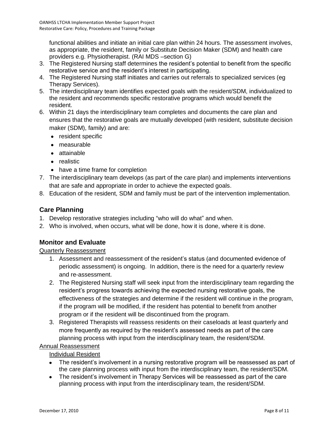functional abilities and initiate an initial care plan within 24 hours. The assessment involves, as appropriate, the resident, family or Substitute Decision Maker (SDM) and health care providers e.g. Physiotherapist. (RAI MDS –section G)

- 3. The Registered Nursing staff determines the resident's potential to benefit from the specific restorative service and the resident's interest in participating.
- 4. The Registered Nursing staff initiates and carries out referrals to specialized services (eg Therapy Services).
- 5. The interdisciplinary team identifies expected goals with the resident/SDM, individualized to the resident and recommends specific restorative programs which would benefit the resident.
- 6. Within 21 days the interdisciplinary team completes and documents the care plan and ensures that the restorative goals are mutually developed (with resident, substitute decision maker (SDM), family) and are:
	- resident specific
	- measurable
	- attainable
	- realistic
	- have a time frame for completion
- 7. The interdisciplinary team develops (as part of the care plan) and implements interventions that are safe and appropriate in order to achieve the expected goals.
- 8. Education of the resident, SDM and family must be part of the intervention implementation.

#### **Care Planning**

- 1. Develop restorative strategies including "who will do what" and when.
- 2. Who is involved, when occurs, what will be done, how it is done, where it is done.

#### **Monitor and Evaluate**

#### Quarterly Reassessment

- 1. Assessment and reassessment of the resident's status (and documented evidence of periodic assessment) is ongoing. In addition, there is the need for a quarterly review and re-assessment.
- 2. The Registered Nursing staff will seek input from the interdisciplinary team regarding the resident's progress towards achieving the expected nursing restorative goals, the effectiveness of the strategies and determine if the resident will continue in the program, if the program will be modified, if the resident has potential to benefit from another program or if the resident will be discontinued from the program.
- 3. Registered Therapists will reassess residents on their caseloads at least quarterly and more frequently as required by the resident's assessed needs as part of the care planning process with input from the interdisciplinary team, the resident/SDM.

#### Annual Reassessment

#### Individual Resident

- The resident's involvement in a nursing restorative program will be reassessed as part of  $\bullet$ the care planning process with input from the interdisciplinary team, the resident/SDM.
- The resident's involvement in Therapy Services will be reassessed as part of the care planning process with input from the interdisciplinary team, the resident/SDM.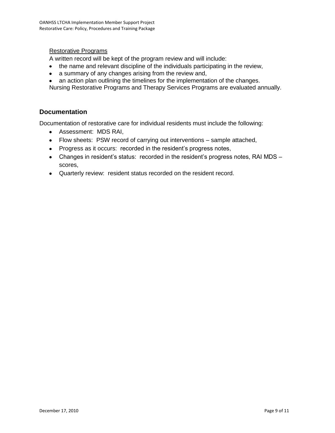#### Restorative Programs

A written record will be kept of the program review and will include:

- the name and relevant discipline of the individuals participating in the review,
- a summary of any changes arising from the review and,  $\bullet$
- an action plan outlining the timelines for the implementation of the changes.  $\bullet$

Nursing Restorative Programs and Therapy Services Programs are evaluated annually.

#### **Documentation**

Documentation of restorative care for individual residents must include the following:

- Assessment: MDS RAI,
- Flow sheets: PSW record of carrying out interventions sample attached,
- Progress as it occurs: recorded in the resident's progress notes,
- Changes in resident's status: recorded in the resident's progress notes, RAI MDS scores,
- Quarterly review: resident status recorded on the resident record.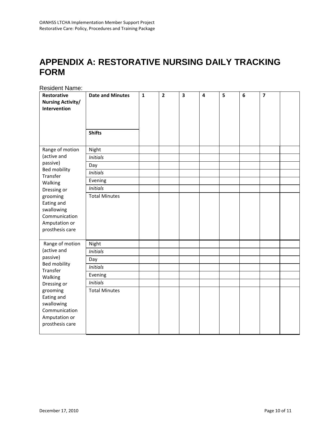## <span id="page-9-0"></span>**APPENDIX A: RESTORATIVE NURSING DAILY TRACKING FORM**

Resident Name:

| Restorative<br><b>Nursing Activity/</b><br>Intervention                                                                                                                                              | <b>Date and Minutes</b><br><b>Shifts</b> | $\mathbf{1}$ | $\overline{2}$ | $\overline{\mathbf{3}}$ | $\overline{\mathbf{4}}$ | 5 | 6 | $\overline{7}$ |  |
|------------------------------------------------------------------------------------------------------------------------------------------------------------------------------------------------------|------------------------------------------|--------------|----------------|-------------------------|-------------------------|---|---|----------------|--|
| Range of motion<br>(active and<br>passive)<br><b>Bed mobility</b><br>Transfer<br>Walking<br>Dressing or<br>grooming<br>Eating and<br>swallowing<br>Communication<br>Amputation or<br>prosthesis care | Night                                    |              |                |                         |                         |   |   |                |  |
|                                                                                                                                                                                                      | <b>Initials</b>                          |              |                |                         |                         |   |   |                |  |
|                                                                                                                                                                                                      | Day                                      |              |                |                         |                         |   |   |                |  |
|                                                                                                                                                                                                      | <b>Initials</b>                          |              |                |                         |                         |   |   |                |  |
|                                                                                                                                                                                                      | Evening                                  |              |                |                         |                         |   |   |                |  |
|                                                                                                                                                                                                      | <b>Initials</b>                          |              |                |                         |                         |   |   |                |  |
|                                                                                                                                                                                                      | <b>Total Minutes</b>                     |              |                |                         |                         |   |   |                |  |
| Range of motion<br>(active and<br>passive)<br><b>Bed mobility</b><br>Transfer<br>Walking<br>Dressing or<br>grooming<br>Eating and<br>swallowing<br>Communication<br>Amputation or<br>prosthesis care | Night                                    |              |                |                         |                         |   |   |                |  |
|                                                                                                                                                                                                      | <b>Initials</b>                          |              |                |                         |                         |   |   |                |  |
|                                                                                                                                                                                                      | Day                                      |              |                |                         |                         |   |   |                |  |
|                                                                                                                                                                                                      | <b>Initials</b>                          |              |                |                         |                         |   |   |                |  |
|                                                                                                                                                                                                      | Evening                                  |              |                |                         |                         |   |   |                |  |
|                                                                                                                                                                                                      | <b>Initials</b>                          |              |                |                         |                         |   |   |                |  |
|                                                                                                                                                                                                      | <b>Total Minutes</b>                     |              |                |                         |                         |   |   |                |  |